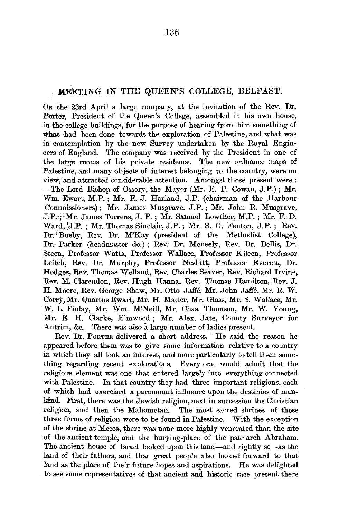## MEETING IN THE QUEEN'S COLLEGE, BELFAST.

ON the 23rd April a large company, at the invitation of the Rev. Dr. Porter, President of the Queen's College, assembled in his own house, in the college buildings, for the purpose of hearing from him something of what had been done towards the exploration of Palestine, and what was in contemplation by the new Survey undertaken by the Royal Engineers of England. The company was received by the President in one of the large rooms of his private residence. The new ordnance maps of Palestine, and many objects of interest belonging to the country, were on view; and attracted considerable attention. Amongst those present were : -The Lord Bishop of Ossory, the Mayor (Mr. E. P. Cowan, J.P.); Mr. Wm. Ewart, M.P.; Mr. E. J. Harland, J.P. (chairman of the Harbour Commissioners); Mr. James Musgrave. J.P.; Mr. John R. Musgrave, J,P:·;·Mr. James Torrens, J.P.; Mr. Samuel Lowther, M.P.; Mr. F. D. Ward, 'J.P.; Mr. Thomas Sinclair, J.P.; Mr. S. G. Fenton, J.P.; Rev. Dr. Eusby, Rev. Dr. M'Kay (president of the Methodist College), Dr. Parker (headmaster do.); Rev. Dr. Meneely, Rev. Dr. Bellis, Dr. Steen, Professor Watts, Professor Wallace, Professor Kileen, Professor Leitch, Rev. Dr. Murphy, Professor Nesbitt, Professor Everett, Dr. Hodges, Rev. Thomas Welland, Rev. Charles Seaver, Rev. Richard Irvine, Rev. M. Clarendon, Rev. Hugh Hanna, Rev. Thomas Hamilton, Rev. J. H. Moore, Rev. George Shaw, Mr. Otto Jaffe, Mr. John Jaffe, Mr. R. W. Corry, Mr. Quartus Ewart, Mr. H. Matier, Mr. Glass, Mr. S. Wallace, Mr. W. L. Finlay, Mr. Wm. M'Neill, Mr. Chas. Thomson, Mr. W. Young, Mr. E. H. Clarke, Elmwood; Mr. Alex. Jate, County Surveyor for Antrim, &c. There was also a large number of ladies present.

Rev. Dr. PORTER delivered a short address. He said the reason he appeared before them was to give some information relative to a country in which they all took an interest, and more particularly to tell them something regarding recent explorations. Every one would admit that the religious element was one that entered largely into everything connected with Palestine. In that country they had three important religions, each of. which had exercised a paramount influence upon the destinies of mankind. First, there was the Jewish religion, next in succession the Christian religion, and then the Mahometan. The most sacred shrines of these three forms of religion were to be found in Palestine. With the exception of the shrine at Mecca, there was none more highly venerated than the site of the ancient temple, and the burying-place of the patriarch Abraham. The ancient house of Israel looked upon this land-and rightly so-as the land of their fathers, and that great people also looked forward to that land as the place of their future hopes and aspirations. He was delighted to see some representatives of that ancient and historic race present there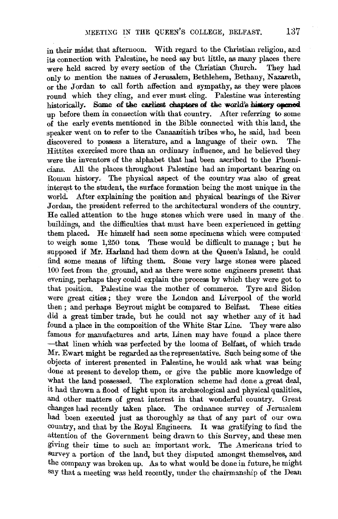in their midst that afternoon. With regard to the Christian religion, and its connection with Palestine, he need. say but little, as many places there were held sacred by every section of the Christian Church. They had only to mention the names of Jerusalem, Bethlehem, Bethany, Nazareth, or the Jordan to call forth affection and sympathy, as they were places round which they cling, and ever must cling. Palestine was interesting historically. Some of the earliest chapters of the world's history opened up before them in connection with that country. After referring to some of the early events mentioned in the Bible connected with this land, the speaker went on to refer to the Canaanitish tribes who, he said, had been discovered to possess a literature, and a language of their own. The Hittites exercised more than an ordinary influence, and he believed they were the inventors of the alphabet that had been ascribed to the Phcenicians. All the places throughout Palestine had an important bearing on Roman history. The physical aspect of the country was also of great interest to the student, the surface formation being the most unique in the world. After explaining the position and physical bearings of the River Jordan, the president referred to the architectural wonders of the country. He called attention to the huge stones which were used in many of the buildings, and the difficulties that must have been experienced in getting them placed. He himself had seen some specimens which were computed to weigh some 1,250 tons. These would be difficult to manage ; but he supposed if Mr. Harland had them down at the Queen's Island, he could find some means of lifting them. Some very large stones were placed 100 feet from the. ground, and as there were some engineers present that evening, perhaps they could explain the process by which they were got to that position. Palestine was the mother of commerce. Tyre and Sidon were great cities; they were the London and Liverpool of the world then ; and perhaps Beyrout might be compared to Belfast. These cities did a great timber trade, but he could not say whether any of it had found a place in the composition of the White Star Line. They were also famous for manufactures and arts. Linen may have found a place there -that linen which was perfected by the looms of Belfast, of which trade Mr. Ewart might be regarded as the representative. Such being some of the objects of interest presented in Palestine, he would ask what was being done at present to develop them, or give the public more knowledge of what the land possessed. The exploration scheme had done a great deal, it had thrown a flood of light upon its archaeological and physical qualities, and other matters of great interest in that wonderful country. Great changes had recently taken place. The ordnance survey of Jerusalem had been executed just as thoroughly as that of any part of our own country, and that by the Royal Engineers. It was gratifying to find the attention of the Government being drawn to this Survey, and these men giving their time to such an important work. The Americans tried to survey a portion of the land, but they disputed amongst themselves, and the company was broken up. As to what would be done in future, he might say that a meeting was held recently, under the chairmanship of the Dean